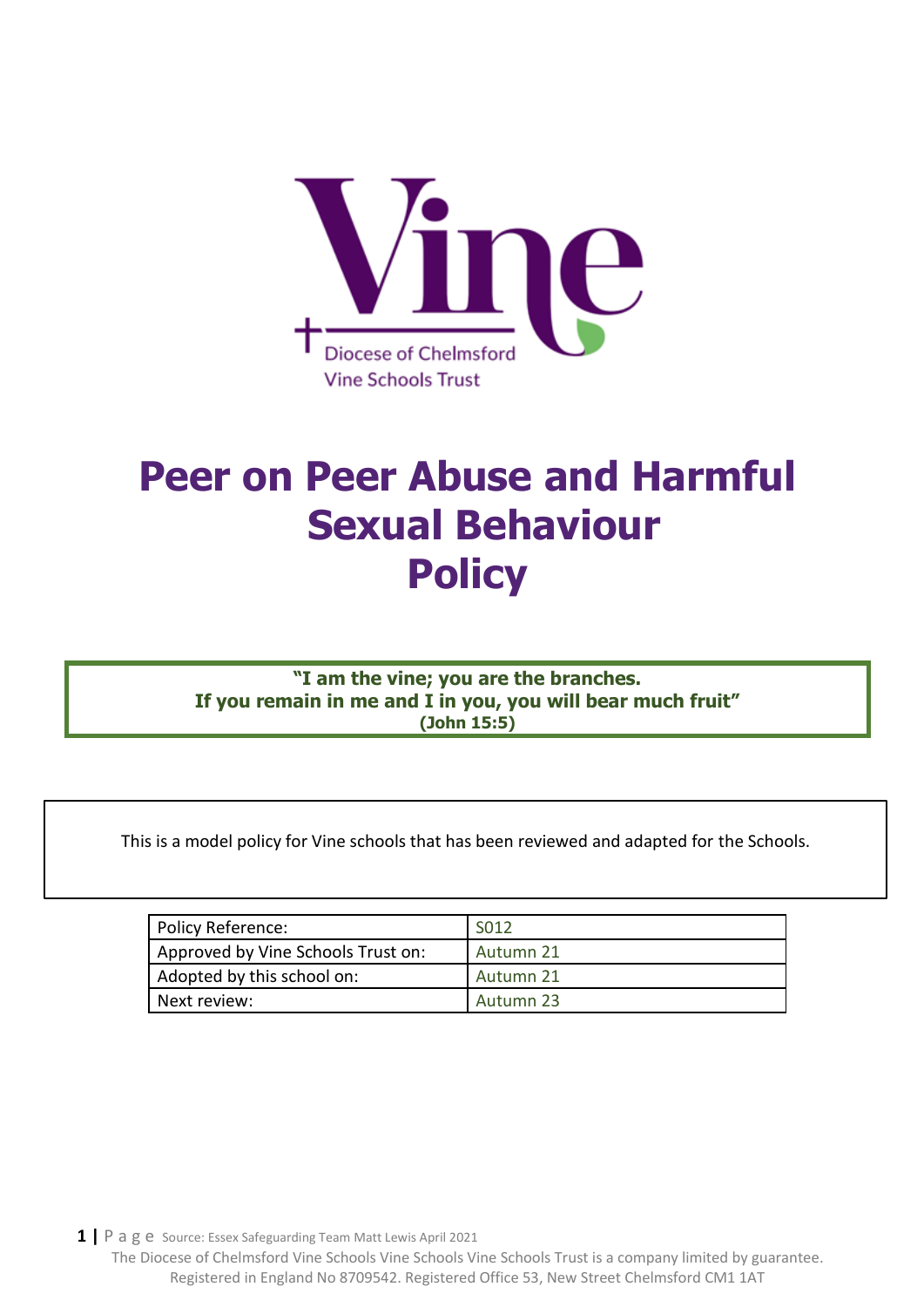

# **Peer on Peer Abuse and Harmful Sexual Behaviour Policy**

**"I am the vine; you are the branches. If you remain in me and I in you, you will bear much fruit" (John 15:5)**

This is a model policy for Vine schools that has been reviewed and adapted for the Schools.

| Policy Reference:                  | S012      |
|------------------------------------|-----------|
| Approved by Vine Schools Trust on: | Autumn 21 |
| Adopted by this school on:         | Autumn 21 |
| Next review:                       | Autumn 23 |

**1 |** P a g e Source: Essex Safeguarding Team Matt Lewis April 2021

 $\blacksquare$ 

The Diocese of Chelmsford Vine Schools Vine Schools Vine Schools Trust is a company limited by guarantee. Registered in England No 8709542. Registered Office 53, New Street Chelmsford CM1 1AT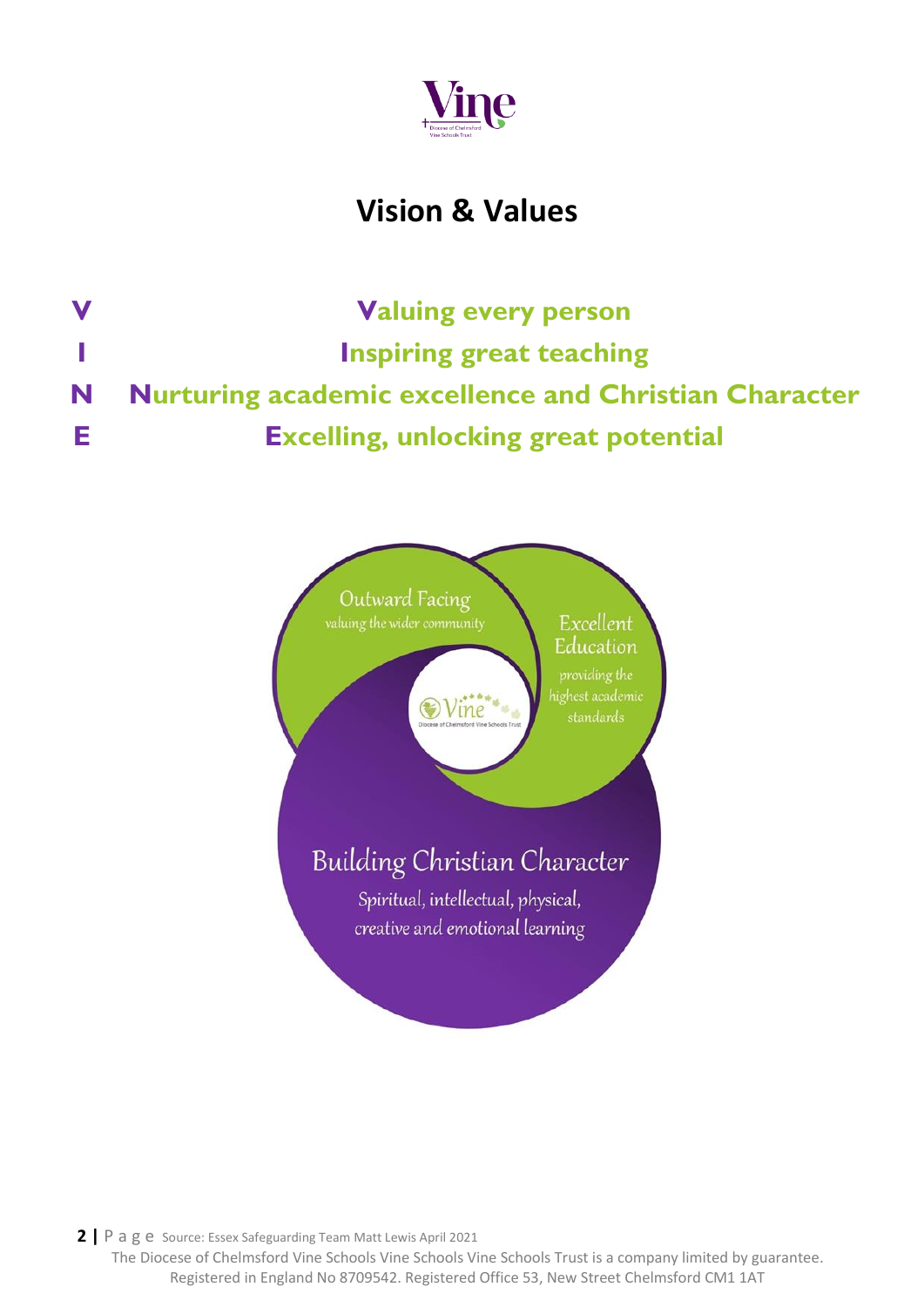

# **Vision & Values**

**V Valuing every person I Inspiring great teaching N Nurturing academic excellence and Christian Character E Excelling, unlocking great potential**

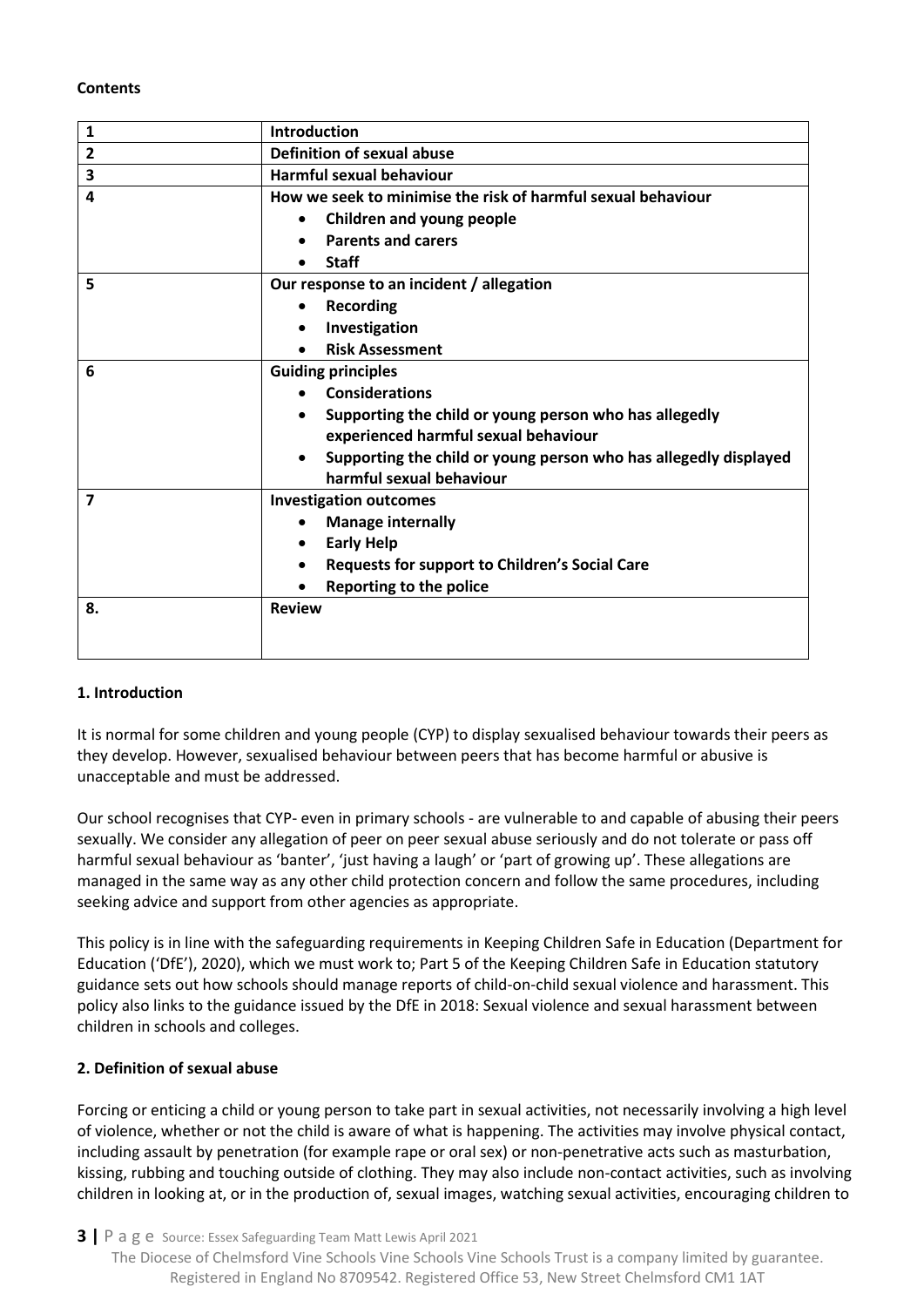#### **Contents**

| $\mathbf{1}$   | <b>Introduction</b>                                                           |
|----------------|-------------------------------------------------------------------------------|
| $\overline{2}$ | <b>Definition of sexual abuse</b>                                             |
| 3              | <b>Harmful sexual behaviour</b>                                               |
| 4              | How we seek to minimise the risk of harmful sexual behaviour                  |
|                | Children and young people<br>$\bullet$                                        |
|                | <b>Parents and carers</b>                                                     |
|                | <b>Staff</b>                                                                  |
| 5              | Our response to an incident / allegation                                      |
|                | <b>Recording</b>                                                              |
|                | Investigation                                                                 |
|                | <b>Risk Assessment</b>                                                        |
| 6              | <b>Guiding principles</b>                                                     |
|                | <b>Considerations</b>                                                         |
|                | Supporting the child or young person who has allegedly                        |
|                | experienced harmful sexual behaviour                                          |
|                | Supporting the child or young person who has allegedly displayed<br>$\bullet$ |
|                | harmful sexual behaviour                                                      |
| $\overline{7}$ | <b>Investigation outcomes</b>                                                 |
|                | <b>Manage internally</b><br>$\bullet$                                         |
|                | <b>Early Help</b><br>$\bullet$                                                |
|                | Requests for support to Children's Social Care<br>$\bullet$                   |
|                | <b>Reporting to the police</b>                                                |
| 8.             | <b>Review</b>                                                                 |
|                |                                                                               |
|                |                                                                               |

# **1. Introduction**

It is normal for some children and young people (CYP) to display sexualised behaviour towards their peers as they develop. However, sexualised behaviour between peers that has become harmful or abusive is unacceptable and must be addressed.

Our school recognises that CYP- even in primary schools - are vulnerable to and capable of abusing their peers sexually. We consider any allegation of peer on peer sexual abuse seriously and do not tolerate or pass off harmful sexual behaviour as 'banter', 'just having a laugh' or 'part of growing up'. These allegations are managed in the same way as any other child protection concern and follow the same procedures, including seeking advice and support from other agencies as appropriate.

This policy is in line with the safeguarding requirements in Keeping Children Safe in Education (Department for Education ('DfE'), 2020), which we must work to; Part 5 of the Keeping Children Safe in Education statutory guidance sets out how schools should manage reports of child-on-child sexual violence and harassment. This policy also links to the guidance issued by the DfE in 2018: Sexual violence and sexual harassment between children in schools and colleges.

# **2. Definition of sexual abuse**

Forcing or enticing a child or young person to take part in sexual activities, not necessarily involving a high level of violence, whether or not the child is aware of what is happening. The activities may involve physical contact, including assault by penetration (for example rape or oral sex) or non-penetrative acts such as masturbation, kissing, rubbing and touching outside of clothing. They may also include non-contact activities, such as involving children in looking at, or in the production of, sexual images, watching sexual activities, encouraging children to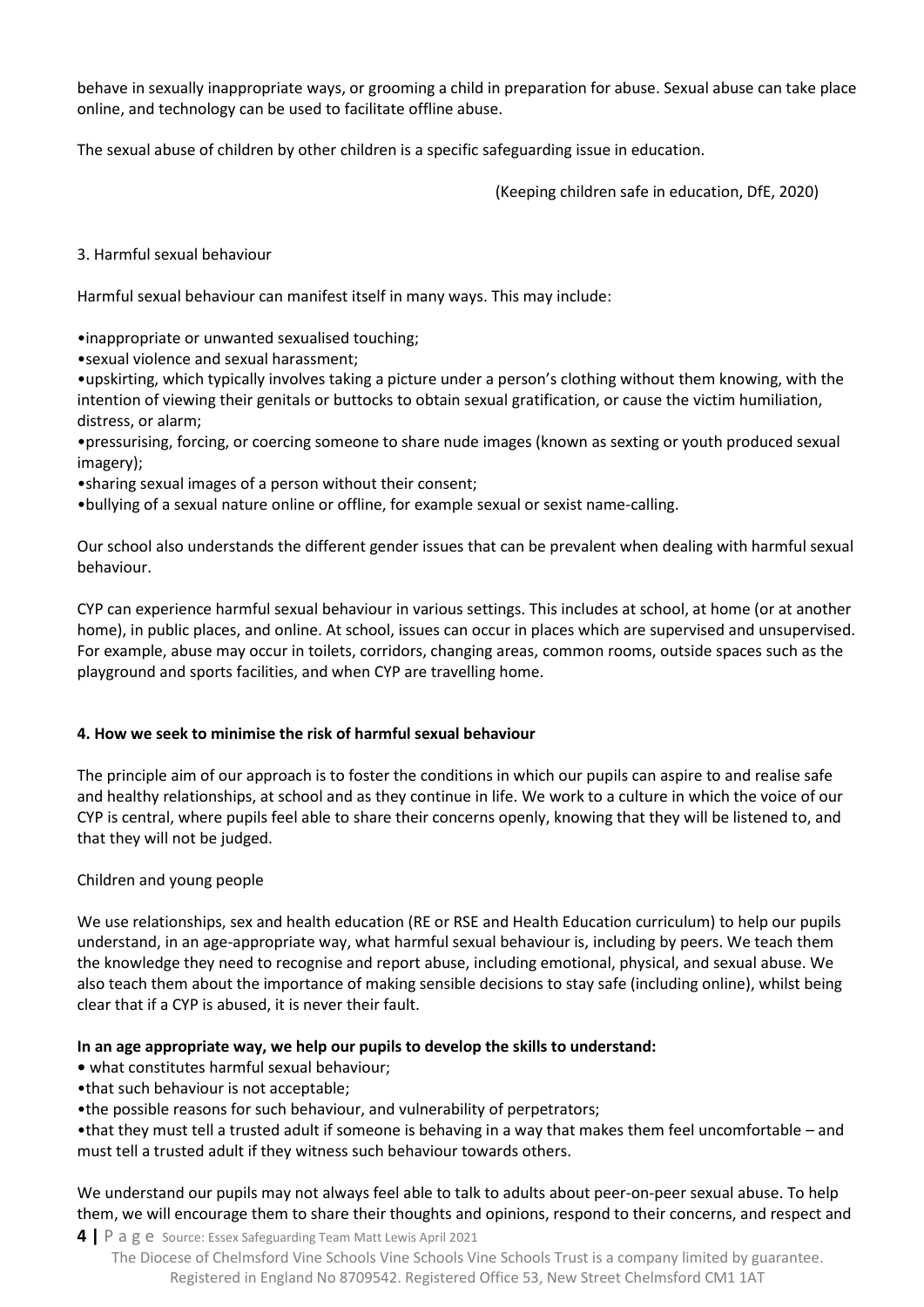behave in sexually inappropriate ways, or grooming a child in preparation for abuse. Sexual abuse can take place online, and technology can be used to facilitate offline abuse.

The sexual abuse of children by other children is a specific safeguarding issue in education.

(Keeping children safe in education, DfE, 2020)

#### 3. Harmful sexual behaviour

Harmful sexual behaviour can manifest itself in many ways. This may include:

•inappropriate or unwanted sexualised touching;

•sexual violence and sexual harassment;

•upskirting, which typically involves taking a picture under a person's clothing without them knowing, with the intention of viewing their genitals or buttocks to obtain sexual gratification, or cause the victim humiliation, distress, or alarm;

•pressurising, forcing, or coercing someone to share nude images (known as sexting or youth produced sexual imagery);

•sharing sexual images of a person without their consent;

•bullying of a sexual nature online or offline, for example sexual or sexist name-calling.

Our school also understands the different gender issues that can be prevalent when dealing with harmful sexual behaviour.

CYP can experience harmful sexual behaviour in various settings. This includes at school, at home (or at another home), in public places, and online. At school, issues can occur in places which are supervised and unsupervised. For example, abuse may occur in toilets, corridors, changing areas, common rooms, outside spaces such as the playground and sports facilities, and when CYP are travelling home.

# **4. How we seek to minimise the risk of harmful sexual behaviour**

The principle aim of our approach is to foster the conditions in which our pupils can aspire to and realise safe and healthy relationships, at school and as they continue in life. We work to a culture in which the voice of our CYP is central, where pupils feel able to share their concerns openly, knowing that they will be listened to, and that they will not be judged.

#### Children and young people

We use relationships, sex and health education (RE or RSE and Health Education curriculum) to help our pupils understand, in an age-appropriate way, what harmful sexual behaviour is, including by peers. We teach them the knowledge they need to recognise and report abuse, including emotional, physical, and sexual abuse. We also teach them about the importance of making sensible decisions to stay safe (including online), whilst being clear that if a CYP is abused, it is never their fault.

#### **In an age appropriate way, we help our pupils to develop the skills to understand:**

**•** what constitutes harmful sexual behaviour;

- •that such behaviour is not acceptable;
- •the possible reasons for such behaviour, and vulnerability of perpetrators;

•that they must tell a trusted adult if someone is behaving in a way that makes them feel uncomfortable – and must tell a trusted adult if they witness such behaviour towards others.

# We understand our pupils may not always feel able to talk to adults about peer-on-peer sexual abuse. To help them, we will encourage them to share their thoughts and opinions, respond to their concerns, and respect and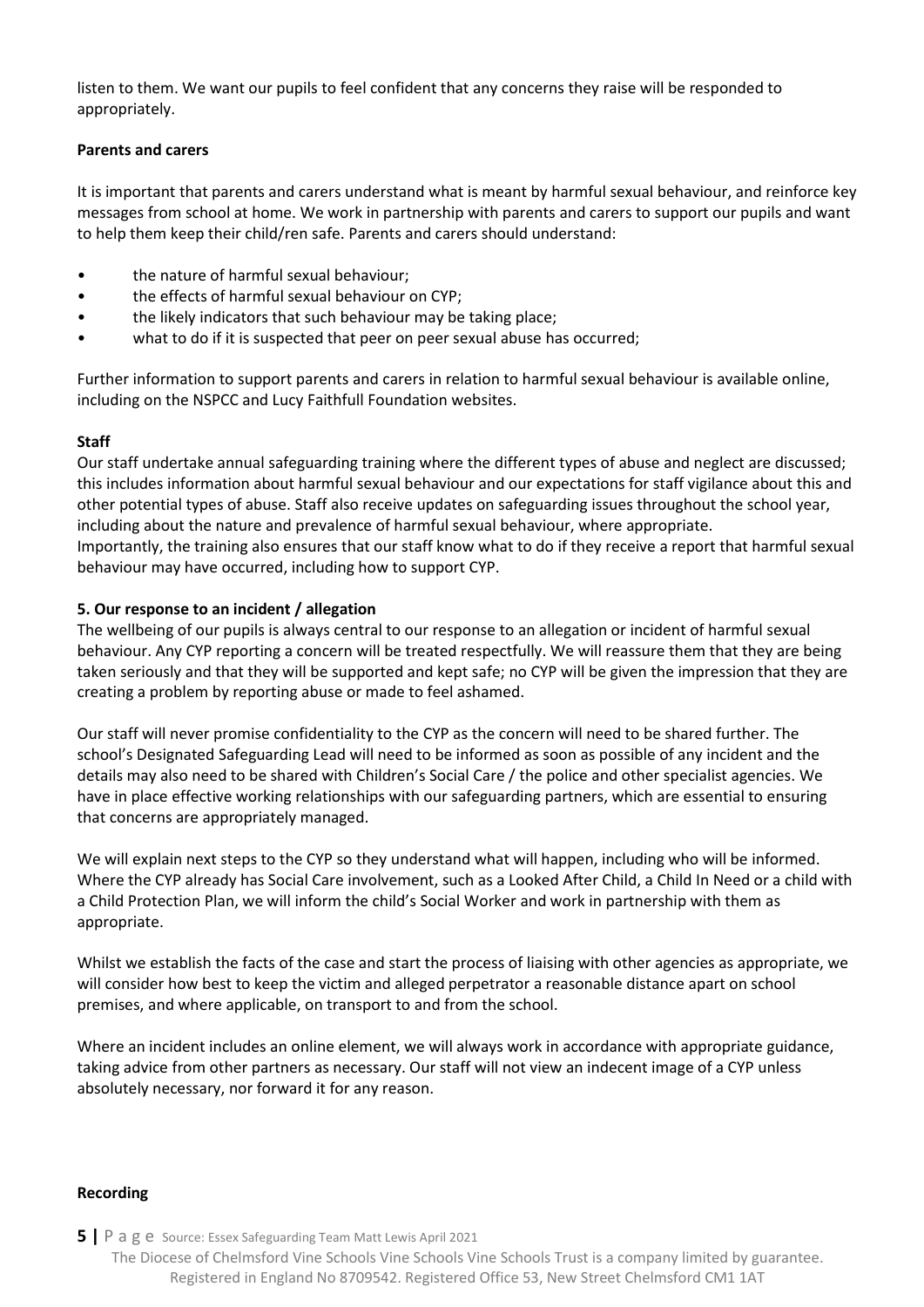listen to them. We want our pupils to feel confident that any concerns they raise will be responded to appropriately.

#### **Parents and carers**

It is important that parents and carers understand what is meant by harmful sexual behaviour, and reinforce key messages from school at home. We work in partnership with parents and carers to support our pupils and want to help them keep their child/ren safe. Parents and carers should understand:

- the nature of harmful sexual behaviour;
- the effects of harmful sexual behaviour on CYP;
- the likely indicators that such behaviour may be taking place;
- what to do if it is suspected that peer on peer sexual abuse has occurred;

Further information to support parents and carers in relation to harmful sexual behaviour is available online, including on the NSPCC and Lucy Faithfull Foundation websites.

# **Staff**

Our staff undertake annual safeguarding training where the different types of abuse and neglect are discussed; this includes information about harmful sexual behaviour and our expectations for staff vigilance about this and other potential types of abuse. Staff also receive updates on safeguarding issues throughout the school year, including about the nature and prevalence of harmful sexual behaviour, where appropriate. Importantly, the training also ensures that our staff know what to do if they receive a report that harmful sexual behaviour may have occurred, including how to support CYP.

# **5. Our response to an incident / allegation**

The wellbeing of our pupils is always central to our response to an allegation or incident of harmful sexual behaviour. Any CYP reporting a concern will be treated respectfully. We will reassure them that they are being taken seriously and that they will be supported and kept safe; no CYP will be given the impression that they are creating a problem by reporting abuse or made to feel ashamed.

Our staff will never promise confidentiality to the CYP as the concern will need to be shared further. The school's Designated Safeguarding Lead will need to be informed as soon as possible of any incident and the details may also need to be shared with Children's Social Care / the police and other specialist agencies. We have in place effective working relationships with our safeguarding partners, which are essential to ensuring that concerns are appropriately managed.

We will explain next steps to the CYP so they understand what will happen, including who will be informed. Where the CYP already has Social Care involvement, such as a Looked After Child, a Child In Need or a child with a Child Protection Plan, we will inform the child's Social Worker and work in partnership with them as appropriate.

Whilst we establish the facts of the case and start the process of liaising with other agencies as appropriate, we will consider how best to keep the victim and alleged perpetrator a reasonable distance apart on school premises, and where applicable, on transport to and from the school.

Where an incident includes an online element, we will always work in accordance with appropriate guidance, taking advice from other partners as necessary. Our staff will not view an indecent image of a CYP unless absolutely necessary, nor forward it for any reason.

#### **Recording**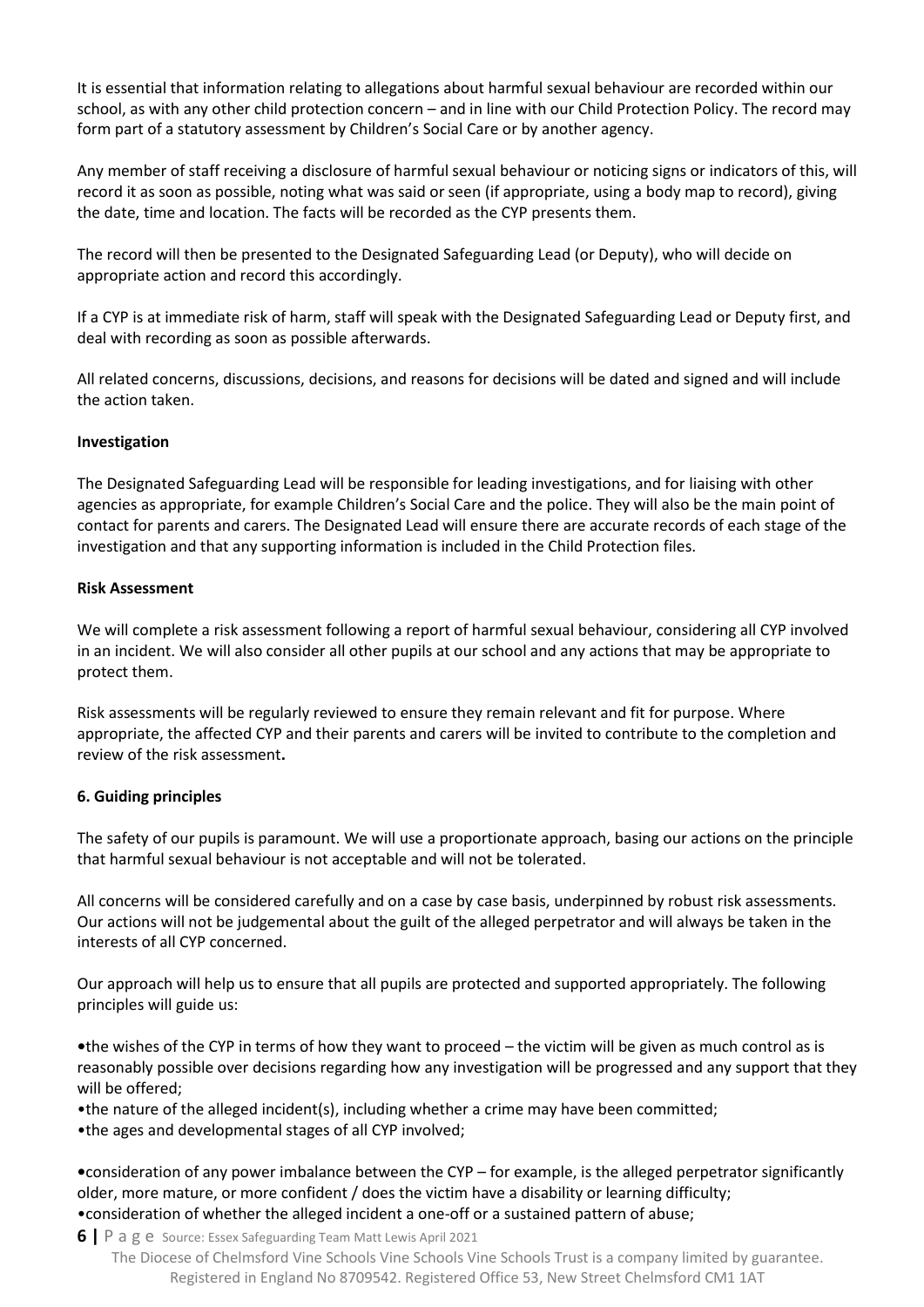It is essential that information relating to allegations about harmful sexual behaviour are recorded within our school, as with any other child protection concern – and in line with our Child Protection Policy. The record may form part of a statutory assessment by Children's Social Care or by another agency.

Any member of staff receiving a disclosure of harmful sexual behaviour or noticing signs or indicators of this, will record it as soon as possible, noting what was said or seen (if appropriate, using a body map to record), giving the date, time and location. The facts will be recorded as the CYP presents them.

The record will then be presented to the Designated Safeguarding Lead (or Deputy), who will decide on appropriate action and record this accordingly.

If a CYP is at immediate risk of harm, staff will speak with the Designated Safeguarding Lead or Deputy first, and deal with recording as soon as possible afterwards.

All related concerns, discussions, decisions, and reasons for decisions will be dated and signed and will include the action taken.

# **Investigation**

The Designated Safeguarding Lead will be responsible for leading investigations, and for liaising with other agencies as appropriate, for example Children's Social Care and the police. They will also be the main point of contact for parents and carers. The Designated Lead will ensure there are accurate records of each stage of the investigation and that any supporting information is included in the Child Protection files.

# **Risk Assessment**

We will complete a risk assessment following a report of harmful sexual behaviour, considering all CYP involved in an incident. We will also consider all other pupils at our school and any actions that may be appropriate to protect them.

Risk assessments will be regularly reviewed to ensure they remain relevant and fit for purpose. Where appropriate, the affected CYP and their parents and carers will be invited to contribute to the completion and review of the risk assessment**.** 

# **6. Guiding principles**

The safety of our pupils is paramount. We will use a proportionate approach, basing our actions on the principle that harmful sexual behaviour is not acceptable and will not be tolerated.

All concerns will be considered carefully and on a case by case basis, underpinned by robust risk assessments. Our actions will not be judgemental about the guilt of the alleged perpetrator and will always be taken in the interests of all CYP concerned.

Our approach will help us to ensure that all pupils are protected and supported appropriately. The following principles will guide us:

**•**the wishes of the CYP in terms of how they want to proceed – the victim will be given as much control as is reasonably possible over decisions regarding how any investigation will be progressed and any support that they will be offered;

•the nature of the alleged incident(s), including whether a crime may have been committed;

•the ages and developmental stages of all CYP involved;

**•**consideration of any power imbalance between the CYP – for example, is the alleged perpetrator significantly older, more mature, or more confident / does the victim have a disability or learning difficulty; •consideration of whether the alleged incident a one-off or a sustained pattern of abuse;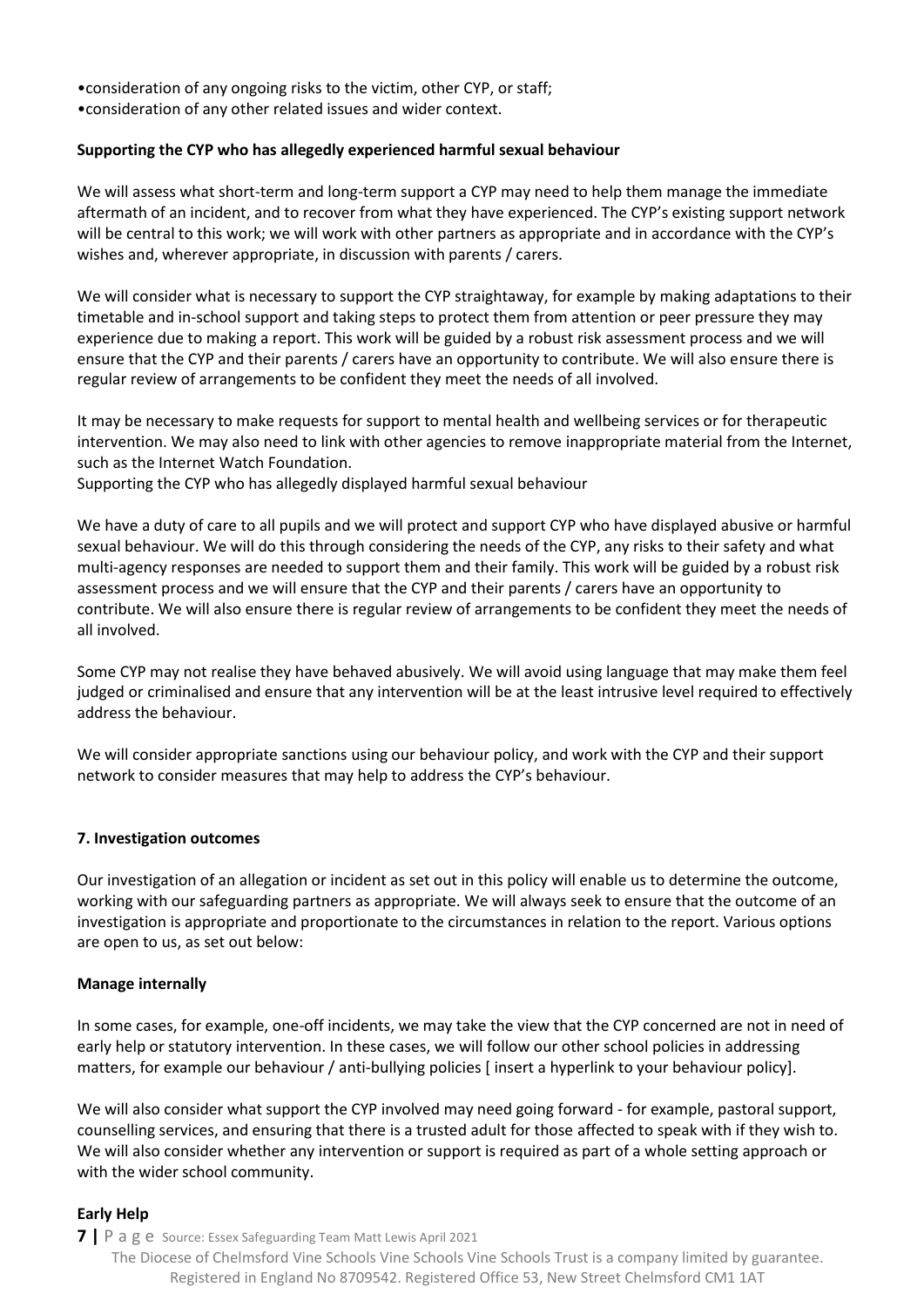•consideration of any ongoing risks to the victim, other CYP, or staff; •consideration of any other related issues and wider context.

# **Supporting the CYP who has allegedly experienced harmful sexual behaviour**

We will assess what short-term and long-term support a CYP may need to help them manage the immediate aftermath of an incident, and to recover from what they have experienced. The CYP's existing support network will be central to this work; we will work with other partners as appropriate and in accordance with the CYP's wishes and, wherever appropriate, in discussion with parents / carers.

We will consider what is necessary to support the CYP straightaway, for example by making adaptations to their timetable and in-school support and taking steps to protect them from attention or peer pressure they may experience due to making a report. This work will be guided by a robust risk assessment process and we will ensure that the CYP and their parents / carers have an opportunity to contribute. We will also ensure there is regular review of arrangements to be confident they meet the needs of all involved.

It may be necessary to make requests for support to mental health and wellbeing services or for therapeutic intervention. We may also need to link with other agencies to remove inappropriate material from the Internet, such as the Internet Watch Foundation.

Supporting the CYP who has allegedly displayed harmful sexual behaviour

We have a duty of care to all pupils and we will protect and support CYP who have displayed abusive or harmful sexual behaviour. We will do this through considering the needs of the CYP, any risks to their safety and what multi-agency responses are needed to support them and their family. This work will be guided by a robust risk assessment process and we will ensure that the CYP and their parents / carers have an opportunity to contribute. We will also ensure there is regular review of arrangements to be confident they meet the needs of all involved.

Some CYP may not realise they have behaved abusively. We will avoid using language that may make them feel judged or criminalised and ensure that any intervention will be at the least intrusive level required to effectively address the behaviour.

We will consider appropriate sanctions using our behaviour policy, and work with the CYP and their support network to consider measures that may help to address the CYP's behaviour.

#### **7. Investigation outcomes**

Our investigation of an allegation or incident as set out in this policy will enable us to determine the outcome, working with our safeguarding partners as appropriate. We will always seek to ensure that the outcome of an investigation is appropriate and proportionate to the circumstances in relation to the report. Various options are open to us, as set out below:

#### **Manage internally**

In some cases, for example, one-off incidents, we may take the view that the CYP concerned are not in need of early help or statutory intervention. In these cases, we will follow our other school policies in addressing matters, for example our behaviour / anti-bullying policies [ insert a hyperlink to your behaviour policy].

We will also consider what support the CYP involved may need going forward - for example, pastoral support, counselling services, and ensuring that there is a trusted adult for those affected to speak with if they wish to. We will also consider whether any intervention or support is required as part of a whole setting approach or with the wider school community.

# **Early Help**

**7 |** P a g e Source: Essex Safeguarding Team Matt Lewis April 2021

The Diocese of Chelmsford Vine Schools Vine Schools Vine Schools Trust is a company limited by guarantee. Registered in England No 8709542. Registered Office 53, New Street Chelmsford CM1 1AT